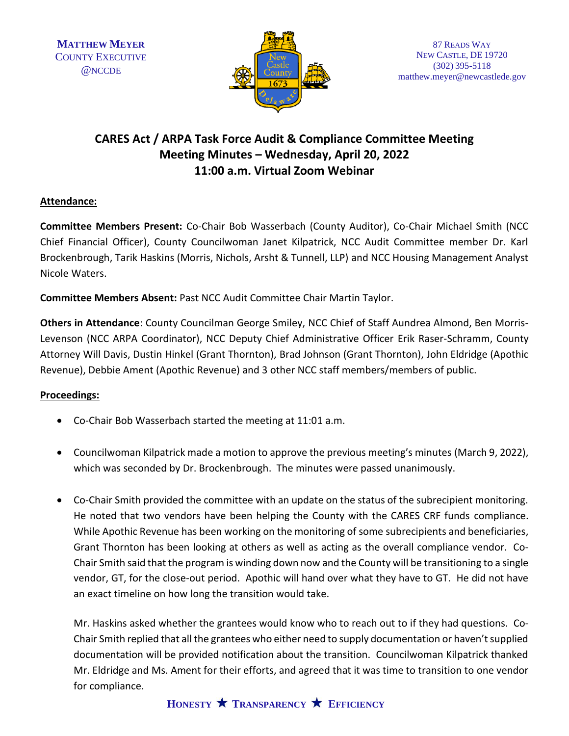

## **CARES Act / ARPA Task Force Audit & Compliance Committee Meeting Meeting Minutes – Wednesday, April 20, 2022 11:00 a.m. Virtual Zoom Webinar**

## **Attendance:**

**Committee Members Present:** Co-Chair Bob Wasserbach (County Auditor), Co-Chair Michael Smith (NCC Chief Financial Officer), County Councilwoman Janet Kilpatrick, NCC Audit Committee member Dr. Karl Brockenbrough, Tarik Haskins (Morris, Nichols, Arsht & Tunnell, LLP) and NCC Housing Management Analyst Nicole Waters.

**Committee Members Absent:** Past NCC Audit Committee Chair Martin Taylor.

**Others in Attendance**: County Councilman George Smiley, NCC Chief of Staff Aundrea Almond, Ben Morris-Levenson (NCC ARPA Coordinator), NCC Deputy Chief Administrative Officer Erik Raser-Schramm, County Attorney Will Davis, Dustin Hinkel (Grant Thornton), Brad Johnson (Grant Thornton), John Eldridge (Apothic Revenue), Debbie Ament (Apothic Revenue) and 3 other NCC staff members/members of public.

## **Proceedings:**

- Co-Chair Bob Wasserbach started the meeting at 11:01 a.m.
- Councilwoman Kilpatrick made a motion to approve the previous meeting's minutes (March 9, 2022), which was seconded by Dr. Brockenbrough. The minutes were passed unanimously.
- Co-Chair Smith provided the committee with an update on the status of the subrecipient monitoring. He noted that two vendors have been helping the County with the CARES CRF funds compliance. While Apothic Revenue has been working on the monitoring of some subrecipients and beneficiaries, Grant Thornton has been looking at others as well as acting as the overall compliance vendor. Co-Chair Smith said that the program is winding down now and the County will be transitioning to a single vendor, GT, for the close-out period. Apothic will hand over what they have to GT. He did not have an exact timeline on how long the transition would take.

Mr. Haskins asked whether the grantees would know who to reach out to if they had questions. Co-Chair Smith replied that all the grantees who either need to supply documentation or haven't supplied documentation will be provided notification about the transition. Councilwoman Kilpatrick thanked Mr. Eldridge and Ms. Ament for their efforts, and agreed that it was time to transition to one vendor for compliance.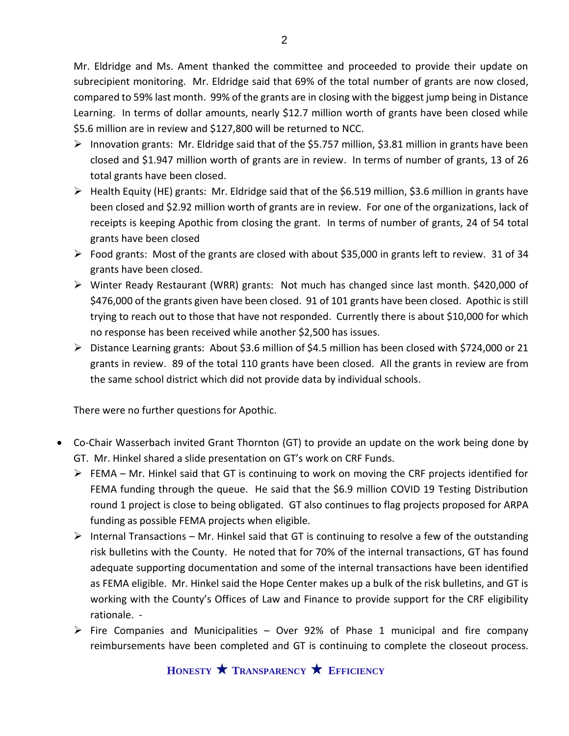Mr. Eldridge and Ms. Ament thanked the committee and proceeded to provide their update on subrecipient monitoring. Mr. Eldridge said that 69% of the total number of grants are now closed, compared to 59% last month. 99% of the grants are in closing with the biggest jump being in Distance Learning. In terms of dollar amounts, nearly \$12.7 million worth of grants have been closed while \$5.6 million are in review and \$127,800 will be returned to NCC.

- $\triangleright$  Innovation grants: Mr. Eldridge said that of the \$5.757 million, \$3.81 million in grants have been closed and \$1.947 million worth of grants are in review. In terms of number of grants, 13 of 26 total grants have been closed.
- $\triangleright$  Health Equity (HE) grants: Mr. Eldridge said that of the \$6.519 million, \$3.6 million in grants have been closed and \$2.92 million worth of grants are in review. For one of the organizations, lack of receipts is keeping Apothic from closing the grant. In terms of number of grants, 24 of 54 total grants have been closed
- $\triangleright$  Food grants: Most of the grants are closed with about \$35,000 in grants left to review. 31 of 34 grants have been closed.
- ➢ Winter Ready Restaurant (WRR) grants: Not much has changed since last month. \$420,000 of \$476,000 of the grants given have been closed. 91 of 101 grants have been closed. Apothic is still trying to reach out to those that have not responded. Currently there is about \$10,000 for which no response has been received while another \$2,500 has issues.
- ➢ Distance Learning grants: About \$3.6 million of \$4.5 million has been closed with \$724,000 or 21 grants in review. 89 of the total 110 grants have been closed. All the grants in review are from the same school district which did not provide data by individual schools.

There were no further questions for Apothic.

- Co-Chair Wasserbach invited Grant Thornton (GT) to provide an update on the work being done by GT. Mr. Hinkel shared a slide presentation on GT's work on CRF Funds.
	- $\triangleright$  FEMA Mr. Hinkel said that GT is continuing to work on moving the CRF projects identified for FEMA funding through the queue. He said that the \$6.9 million COVID 19 Testing Distribution round 1 project is close to being obligated. GT also continues to flag projects proposed for ARPA funding as possible FEMA projects when eligible.
	- $\triangleright$  Internal Transactions Mr. Hinkel said that GT is continuing to resolve a few of the outstanding risk bulletins with the County. He noted that for 70% of the internal transactions, GT has found adequate supporting documentation and some of the internal transactions have been identified as FEMA eligible. Mr. Hinkel said the Hope Center makes up a bulk of the risk bulletins, and GT is working with the County's Offices of Law and Finance to provide support for the CRF eligibility rationale. -
	- $\triangleright$  Fire Companies and Municipalities Over 92% of Phase 1 municipal and fire company reimbursements have been completed and GT is continuing to complete the closeout process.

**HONESTY TRANSPARENCY EFFICIENCY**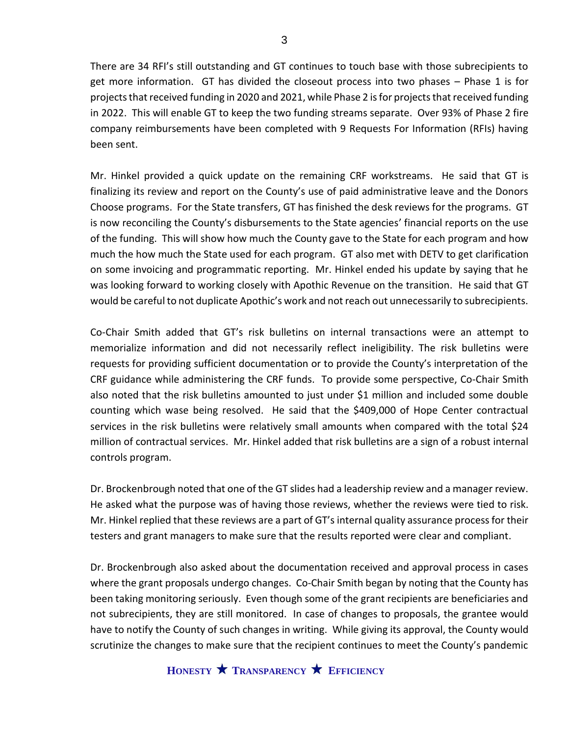There are 34 RFI's still outstanding and GT continues to touch base with those subrecipients to get more information. GT has divided the closeout process into two phases – Phase 1 is for projects that received funding in 2020 and 2021, while Phase 2 is for projects that received funding in 2022. This will enable GT to keep the two funding streams separate. Over 93% of Phase 2 fire company reimbursements have been completed with 9 Requests For Information (RFIs) having been sent.

Mr. Hinkel provided a quick update on the remaining CRF workstreams. He said that GT is finalizing its review and report on the County's use of paid administrative leave and the Donors Choose programs. For the State transfers, GT has finished the desk reviews for the programs. GT is now reconciling the County's disbursements to the State agencies' financial reports on the use of the funding. This will show how much the County gave to the State for each program and how much the how much the State used for each program. GT also met with DETV to get clarification on some invoicing and programmatic reporting. Mr. Hinkel ended his update by saying that he was looking forward to working closely with Apothic Revenue on the transition. He said that GT would be careful to not duplicate Apothic's work and not reach out unnecessarily to subrecipients.

Co-Chair Smith added that GT's risk bulletins on internal transactions were an attempt to memorialize information and did not necessarily reflect ineligibility. The risk bulletins were requests for providing sufficient documentation or to provide the County's interpretation of the CRF guidance while administering the CRF funds. To provide some perspective, Co-Chair Smith also noted that the risk bulletins amounted to just under \$1 million and included some double counting which wase being resolved. He said that the \$409,000 of Hope Center contractual services in the risk bulletins were relatively small amounts when compared with the total \$24 million of contractual services. Mr. Hinkel added that risk bulletins are a sign of a robust internal controls program.

Dr. Brockenbrough noted that one of the GT slides had a leadership review and a manager review. He asked what the purpose was of having those reviews, whether the reviews were tied to risk. Mr. Hinkel replied that these reviews are a part of GT's internal quality assurance process for their testers and grant managers to make sure that the results reported were clear and compliant.

Dr. Brockenbrough also asked about the documentation received and approval process in cases where the grant proposals undergo changes. Co-Chair Smith began by noting that the County has been taking monitoring seriously. Even though some of the grant recipients are beneficiaries and not subrecipients, they are still monitored. In case of changes to proposals, the grantee would have to notify the County of such changes in writing. While giving its approval, the County would scrutinize the changes to make sure that the recipient continues to meet the County's pandemic

**HONESTY TRANSPARENCY EFFICIENCY**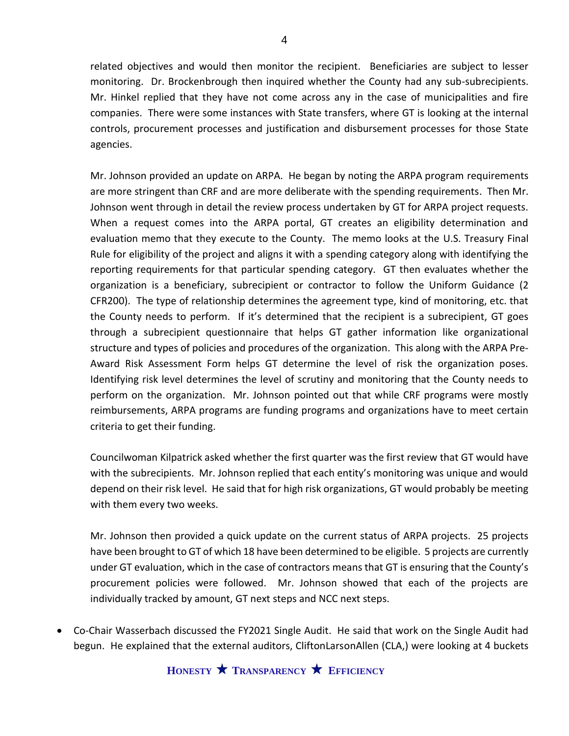related objectives and would then monitor the recipient. Beneficiaries are subject to lesser monitoring. Dr. Brockenbrough then inquired whether the County had any sub-subrecipients. Mr. Hinkel replied that they have not come across any in the case of municipalities and fire companies. There were some instances with State transfers, where GT is looking at the internal controls, procurement processes and justification and disbursement processes for those State agencies.

Mr. Johnson provided an update on ARPA. He began by noting the ARPA program requirements are more stringent than CRF and are more deliberate with the spending requirements. Then Mr. Johnson went through in detail the review process undertaken by GT for ARPA project requests. When a request comes into the ARPA portal, GT creates an eligibility determination and evaluation memo that they execute to the County. The memo looks at the U.S. Treasury Final Rule for eligibility of the project and aligns it with a spending category along with identifying the reporting requirements for that particular spending category. GT then evaluates whether the organization is a beneficiary, subrecipient or contractor to follow the Uniform Guidance (2 CFR200). The type of relationship determines the agreement type, kind of monitoring, etc. that the County needs to perform. If it's determined that the recipient is a subrecipient, GT goes through a subrecipient questionnaire that helps GT gather information like organizational structure and types of policies and procedures of the organization. This along with the ARPA Pre-Award Risk Assessment Form helps GT determine the level of risk the organization poses. Identifying risk level determines the level of scrutiny and monitoring that the County needs to perform on the organization. Mr. Johnson pointed out that while CRF programs were mostly reimbursements, ARPA programs are funding programs and organizations have to meet certain criteria to get their funding.

Councilwoman Kilpatrick asked whether the first quarter was the first review that GT would have with the subrecipients. Mr. Johnson replied that each entity's monitoring was unique and would depend on their risk level. He said that for high risk organizations, GT would probably be meeting with them every two weeks.

Mr. Johnson then provided a quick update on the current status of ARPA projects. 25 projects have been brought to GT of which 18 have been determined to be eligible. 5 projects are currently under GT evaluation, which in the case of contractors means that GT is ensuring that the County's procurement policies were followed. Mr. Johnson showed that each of the projects are individually tracked by amount, GT next steps and NCC next steps.

• Co-Chair Wasserbach discussed the FY2021 Single Audit. He said that work on the Single Audit had begun. He explained that the external auditors, CliftonLarsonAllen (CLA,) were looking at 4 buckets